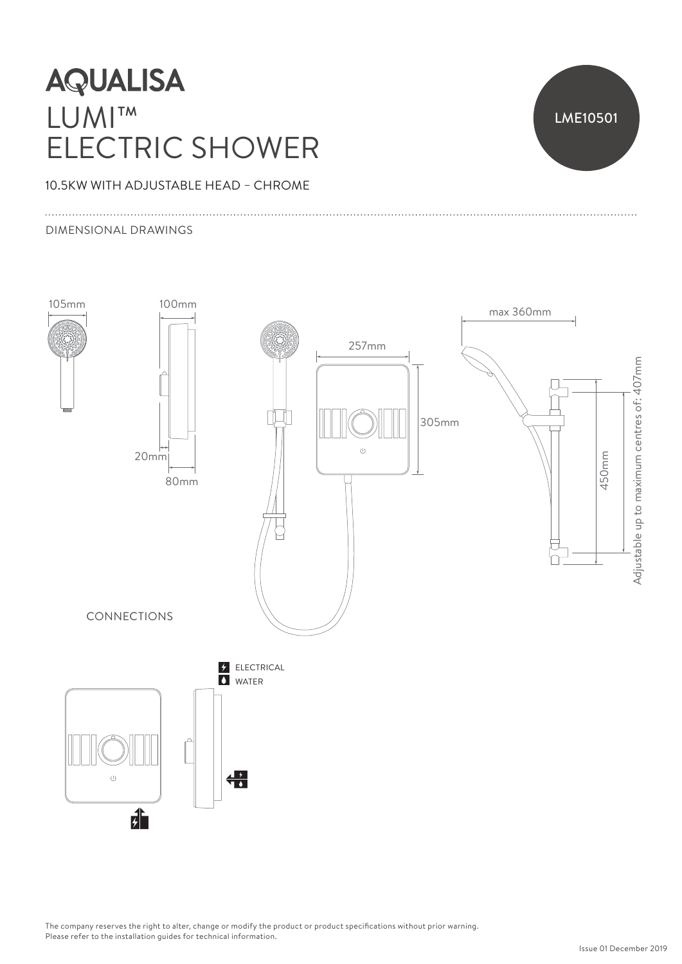# **AQUALISA** LUMI™ ELECTRIC SHOWER



### 10.5KW WITH ADJUSTABLE HEAD – CHROME

#### DIMENSIONAL DRAWINGS



The company reserves the right to alter, change or modify the product or product specifications without prior warning. Please refer to the installation guides for technical information.